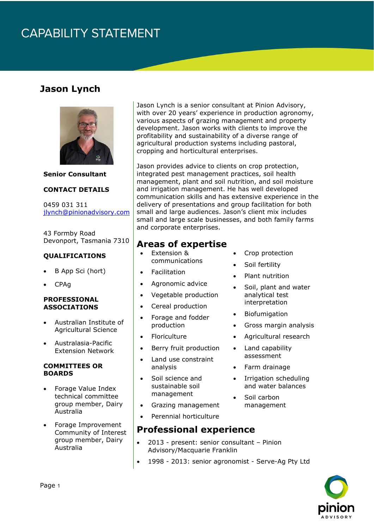# **CAPABILITY STATEMENT**

## **Jason Lynch**



**Senior Consultant**

#### **CONTACT DETAILS**

0459 031 311 [jlynch@pinionadvisory.com](mailto:jlynch@pinionadvisory.com)

43 Formby Road Devonport, Tasmania 7310

#### **QUALIFICATIONS**

- B App Sci (hort)
- CPAg

#### **PROFESSIONAL ASSOCIATIONS**

- Australian Institute of Agricultural Science
- Australasia-Pacific Extension Network

#### **COMMITTEES OR BOARDS**

- Forage Value Index technical committee group member, Dairy Australia
- Forage Improvement Community of Interest group member, Dairy Australia

Jason Lynch is a senior consultant at Pinion Advisory, with over 20 years' experience in production agronomy, various aspects of grazing management and property development. Jason works with clients to improve the profitability and sustainability of a diverse range of agricultural production systems including pastoral, cropping and horticultural enterprises.

Jason provides advice to clients on crop protection, integrated pest management practices, soil health management, plant and soil nutrition, and soil moisture and irrigation management. He has well developed communication skills and has extensive experience in the delivery of presentations and group facilitation for both small and large audiences. Jason's client mix includes small and large scale businesses, and both family farms and corporate enterprises.

### **Areas of expertise**

- Extension & communications
- **Facilitation**
- Agronomic advice
- Vegetable production
- Cereal production
- Forage and fodder production
- **Floriculture**
- Berry fruit production
- Land use constraint analysis
- Soil science and sustainable soil management
- Grazing management
- Perennial horticulture

### **Professional experience**

- 2013 present: senior consultant Pinion Advisory/Macquarie Franklin
- 1998 2013: senior agronomist Serve-Ag Pty Ltd



- Crop protection
- Soil fertility
- Plant nutrition
- Soil, plant and water analytical test interpretation
- **Biofumigation**
- Gross margin analysis
- Agricultural research
- Land capability assessment
- Farm drainage
- Irrigation scheduling and water balances
- Soil carbon management